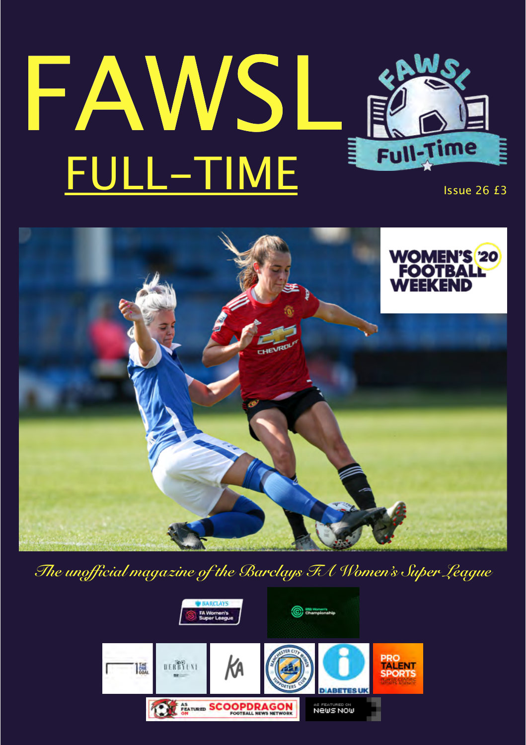## FAWSL FULL-TIME Issue 26 £3



*The unofficial magazine of the Barclays FA Women's Super League*

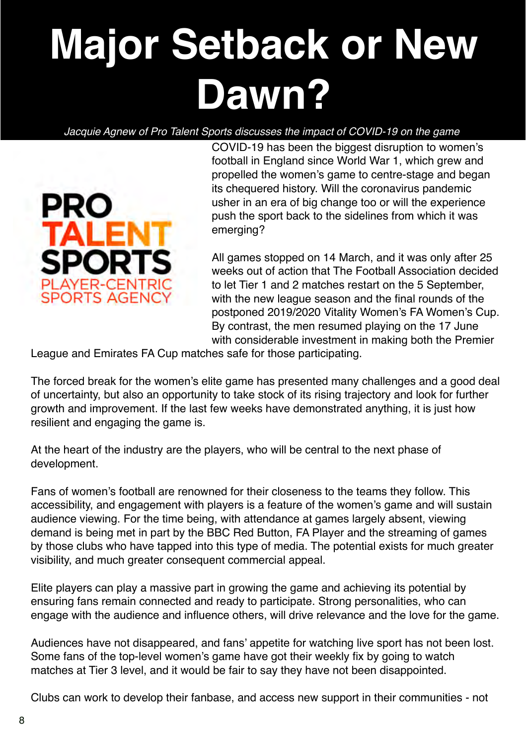## **Major Setback or New Dawn?**

## *Jacquie Agnew of Pro Talent Sports discusses the impact of COVID-19 on the game*

COVID-19 has been the biggest disruption to women's football in England since World War 1, which grew and propelled the women's game to centre-stage and began its chequered history. Will the coronavirus pandemic usher in an era of big change too or will the experience push the sport back to the sidelines from which it was emerging?

All games stopped on 14 March, and it was only after 25 weeks out of action that The Football Association decided to let Tier 1 and 2 matches restart on the 5 September, with the new league season and the final rounds of the postponed 2019/2020 Vitality Women's FA Women's Cup. By contrast, the men resumed playing on the 17 June with considerable investment in making both the Premier

League and Emirates FA Cup matches safe for those participating.

The forced break for the women's elite game has presented many challenges and a good deal of uncertainty, but also an opportunity to take stock of its rising trajectory and look for further growth and improvement. If the last few weeks have demonstrated anything, it is just how resilient and engaging the game is.

At the heart of the industry are the players, who will be central to the next phase of development.

Fans of women's football are renowned for their closeness to the teams they follow. This accessibility, and engagement with players is a feature of the women's game and will sustain audience viewing. For the time being, with attendance at games largely absent, viewing demand is being met in part by the BBC Red Button, FA Player and the streaming of games by those clubs who have tapped into this type of media. The potential exists for much greater visibility, and much greater consequent commercial appeal.

Elite players can play a massive part in growing the game and achieving its potential by ensuring fans remain connected and ready to participate. Strong personalities, who can engage with the audience and influence others, will drive relevance and the love for the game.

Audiences have not disappeared, and fans' appetite for watching live sport has not been lost. Some fans of the top-level women's game have got their weekly fix by going to watch matches at Tier 3 level, and it would be fair to say they have not been disappointed.

Clubs can work to develop their fanbase, and access new support in their communities - not